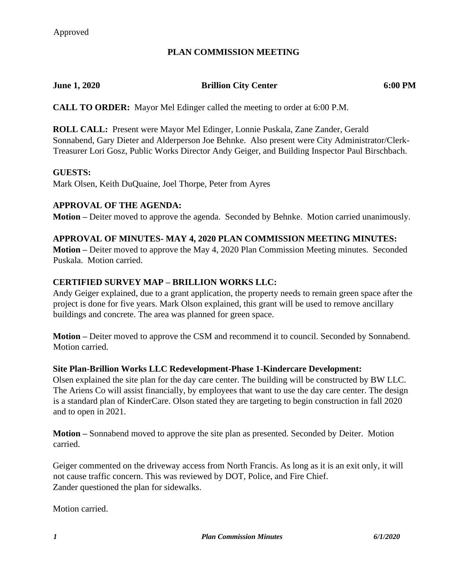## **PLAN COMMISSION MEETING**

#### **June 1, 2020 Brillion City Center 6:00 PM**

**CALL TO ORDER:** Mayor Mel Edinger called the meeting to order at 6:00 P.M.

**ROLL CALL:** Present were Mayor Mel Edinger, Lonnie Puskala, Zane Zander, Gerald Sonnabend, Gary Dieter and Alderperson Joe Behnke. Also present were City Administrator/Clerk-Treasurer Lori Gosz, Public Works Director Andy Geiger, and Building Inspector Paul Birschbach.

### **GUESTS:**

Mark Olsen, Keith DuQuaine, Joel Thorpe, Peter from Ayres

### **APPROVAL OF THE AGENDA:**

**Motion –** Deiter moved to approve the agenda. Seconded by Behnke. Motion carried unanimously.

#### **APPROVAL OF MINUTES- MAY 4, 2020 PLAN COMMISSION MEETING MINUTES:**

**Motion –** Deiter moved to approve the May 4, 2020 Plan Commission Meeting minutes. Seconded Puskala. Motion carried.

### **CERTIFIED SURVEY MAP – BRILLION WORKS LLC:**

Andy Geiger explained, due to a grant application, the property needs to remain green space after the project is done for five years. Mark Olson explained, this grant will be used to remove ancillary buildings and concrete. The area was planned for green space.

**Motion –** Deiter moved to approve the CSM and recommend it to council. Seconded by Sonnabend. Motion carried.

#### **Site Plan-Brillion Works LLC Redevelopment-Phase 1-Kindercare Development:**

Olsen explained the site plan for the day care center. The building will be constructed by BW LLC. The Ariens Co will assist financially, by employees that want to use the day care center. The design is a standard plan of KinderCare. Olson stated they are targeting to begin construction in fall 2020 and to open in 2021.

**Motion –** Sonnabend moved to approve the site plan as presented. Seconded by Deiter. Motion carried.

Geiger commented on the driveway access from North Francis. As long as it is an exit only, it will not cause traffic concern. This was reviewed by DOT, Police, and Fire Chief. Zander questioned the plan for sidewalks.

Motion carried.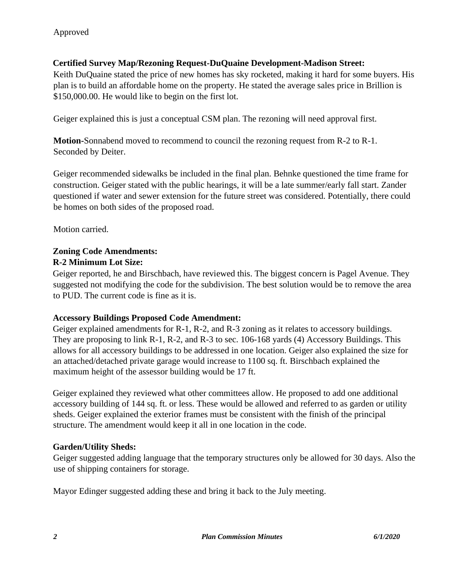## **Certified Survey Map/Rezoning Request-DuQuaine Development-Madison Street:**

Keith DuQuaine stated the price of new homes has sky rocketed, making it hard for some buyers. His plan is to build an affordable home on the property. He stated the average sales price in Brillion is \$150,000.00. He would like to begin on the first lot.

Geiger explained this is just a conceptual CSM plan. The rezoning will need approval first.

**Motion-**Sonnabend moved to recommend to council the rezoning request from R-2 to R-1. Seconded by Deiter.

Geiger recommended sidewalks be included in the final plan. Behnke questioned the time frame for construction. Geiger stated with the public hearings, it will be a late summer/early fall start. Zander questioned if water and sewer extension for the future street was considered. Potentially, there could be homes on both sides of the proposed road.

Motion carried.

## **Zoning Code Amendments: R-2 Minimum Lot Size:**

Geiger reported, he and Birschbach, have reviewed this. The biggest concern is Pagel Avenue. They suggested not modifying the code for the subdivision. The best solution would be to remove the area to PUD. The current code is fine as it is.

## **Accessory Buildings Proposed Code Amendment:**

Geiger explained amendments for R-1, R-2, and R-3 zoning as it relates to accessory buildings. They are proposing to link R-1, R-2, and R-3 to sec. 106-168 yards (4) Accessory Buildings. This allows for all accessory buildings to be addressed in one location. Geiger also explained the size for an attached/detached private garage would increase to 1100 sq. ft. Birschbach explained the maximum height of the assessor building would be 17 ft.

Geiger explained they reviewed what other committees allow. He proposed to add one additional accessory building of 144 sq. ft. or less. These would be allowed and referred to as garden or utility sheds. Geiger explained the exterior frames must be consistent with the finish of the principal structure. The amendment would keep it all in one location in the code.

# **Garden/Utility Sheds:**

Geiger suggested adding language that the temporary structures only be allowed for 30 days. Also the use of shipping containers for storage.

Mayor Edinger suggested adding these and bring it back to the July meeting.